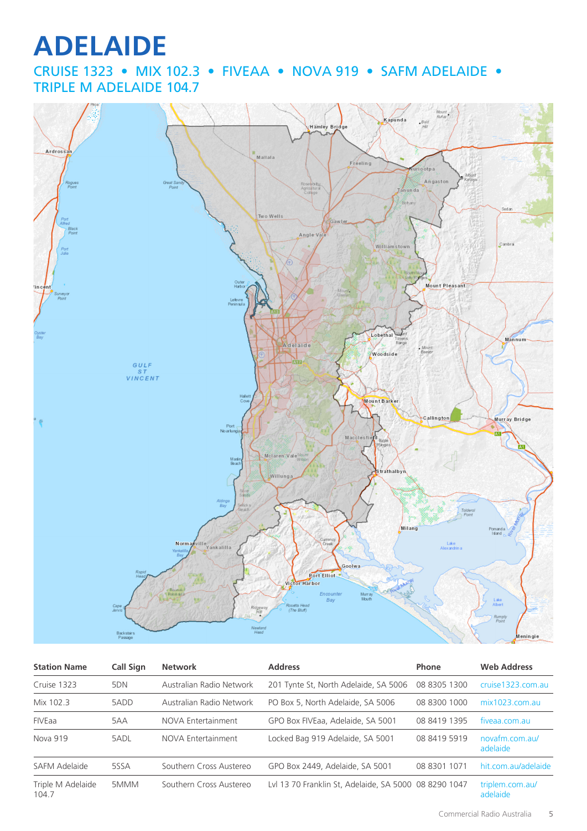# **ADELAIDE**

CRUISE 1323 • MIX 102.3 • FIVEAA • NOVA 919 • SAFM ADELAIDE • TRIPLE M ADELAIDE 104.7



| <b>Station Name</b>        | Call Sign | <b>Network</b>           | <b>Address</b>                                        | Phone        | <b>Web Address</b>          |
|----------------------------|-----------|--------------------------|-------------------------------------------------------|--------------|-----------------------------|
| Cruise 1323                | 5DN       | Australian Radio Network | 201 Tynte St, North Adelaide, SA 5006                 | 08 8305 1300 | cruise1323.com.au           |
| Mix 102.3                  | 5ADD      | Australian Radio Network | PO Box 5, North Adelaide, SA 5006                     | 08 8300 1000 | $mix1023$ .com.au           |
| <b>FIVEaa</b>              | 5AA       | NOVA Entertainment       | GPO Box FIVEaa, Adelaide, SA 5001                     | 08 8419 1395 | fiveaa.com.au               |
| Nova 919                   | 5ADL      | NOVA Entertainment       | Locked Bag 919 Adelaide, SA 5001                      | 08 8419 5919 | novafm.com.au/<br>adelaide  |
| SAFM Adelaide              | 5SSA      | Southern Cross Austereo  | GPO Box 2449, Adelaide, SA 5001                       | 08 8301 1071 | hit.com.au/adelaide         |
| Triple M Adelaide<br>104.7 | 5MMM      | Southern Cross Austereo  | Lvl 13 70 Franklin St, Adelaide, SA 5000 08 8290 1047 |              | triplem.com.au/<br>adelaide |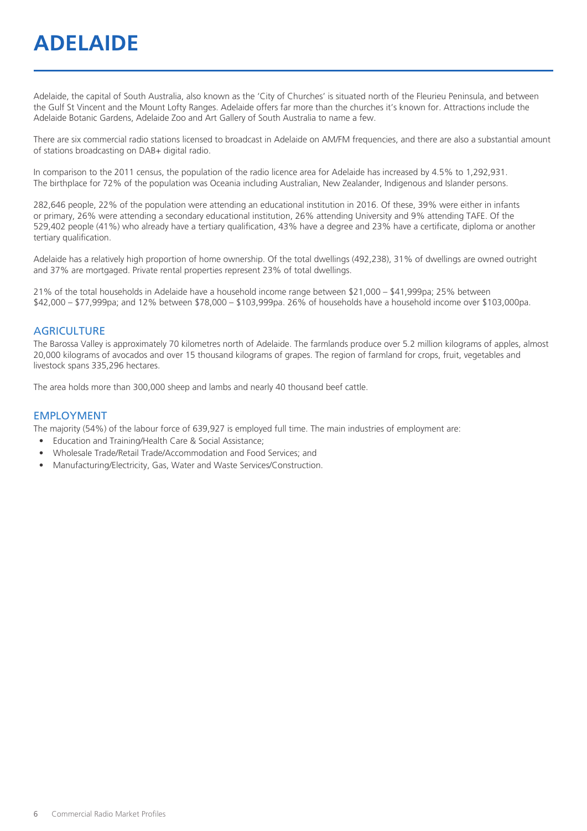## **ADELAIDE**

Adelaide, the capital of South Australia, also known as the 'City of Churches' is situated north of the Fleurieu Peninsula, and between the Gulf St Vincent and the Mount Lofty Ranges. Adelaide offers far more than the churches it's known for. Attractions include the Adelaide Botanic Gardens, Adelaide Zoo and Art Gallery of South Australia to name a few.

There are six commercial radio stations licensed to broadcast in Adelaide on AM/FM frequencies, and there are also a substantial amount of stations broadcasting on DAB+ digital radio.

In comparison to the 2011 census, the population of the radio licence area for Adelaide has increased by 4.5% to 1,292,931. The birthplace for 72% of the population was Oceania including Australian, New Zealander, Indigenous and Islander persons.

282,646 people, 22% of the population were attending an educational institution in 2016. Of these, 39% were either in infants or primary, 26% were attending a secondary educational institution, 26% attending University and 9% attending TAFE. Of the 529,402 people (41%) who already have a tertiary qualification, 43% have a degree and 23% have a certificate, diploma or another tertiary qualification.

Adelaide has a relatively high proportion of home ownership. Of the total dwellings (492,238), 31% of dwellings are owned outright and 37% are mortgaged. Private rental properties represent 23% of total dwellings.

21% of the total households in Adelaide have a household income range between \$21,000 – \$41,999pa; 25% between \$42,000 – \$77,999pa; and 12% between \$78,000 – \$103,999pa. 26% of households have a household income over \$103,000pa.

#### **AGRICULTURE**

The Barossa Valley is approximately 70 kilometres north of Adelaide. The farmlands produce over 5.2 million kilograms of apples, almost 20,000 kilograms of avocados and over 15 thousand kilograms of grapes. The region of farmland for crops, fruit, vegetables and livestock spans 335,296 hectares.

The area holds more than 300,000 sheep and lambs and nearly 40 thousand beef cattle.

#### EMPLOYMENT

The majority (54%) of the labour force of 639,927 is employed full time. The main industries of employment are:

- Education and Training/Health Care & Social Assistance;
- Wholesale Trade/Retail Trade/Accommodation and Food Services; and
- Manufacturing/Electricity, Gas, Water and Waste Services/Construction.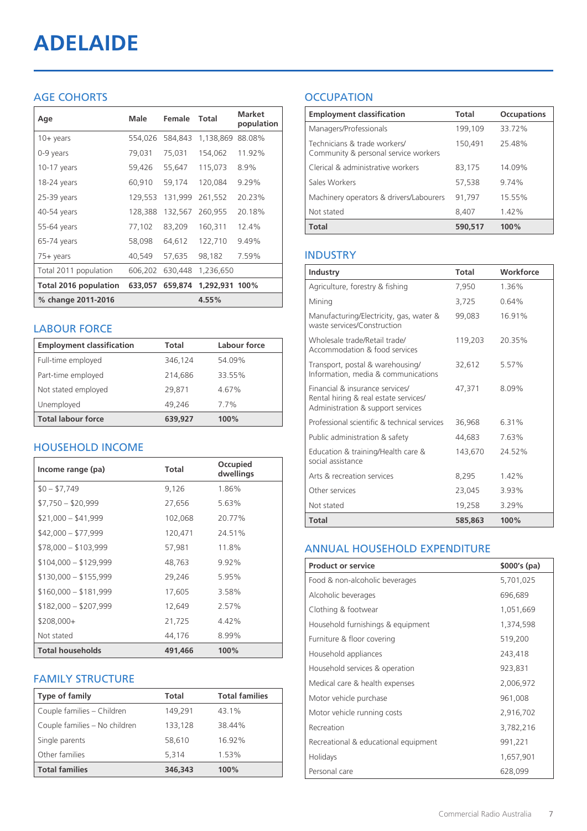# **ADELAIDE**

#### AGE COHORTS

| Age                          | Male    | Female  | <b>Total</b>   | <b>Market</b><br>population |
|------------------------------|---------|---------|----------------|-----------------------------|
| $10 + \gamma$ ears           | 554,026 | 584.843 | 1,138,869      | 88.08%                      |
| 0-9 years                    | 79,031  | 75,031  | 154,062        | 11.92%                      |
| $10-17$ years                | 59,426  | 55,647  | 115,073        | 8.9%                        |
| 18-24 years                  | 60,910  | 59,174  | 120,084        | 9.29%                       |
| 25-39 years                  | 129,553 | 131,999 | 261,552        | 20.23%                      |
| 40-54 years                  | 128,388 | 132,567 | 260,955        | 20.18%                      |
| 55-64 years                  | 77,102  | 83,209  | 160,311        | 12.4%                       |
| 65-74 years                  | 58,098  | 64.612  | 122,710        | 9.49%                       |
| 75+ years                    | 40,549  | 57,635  | 98,182         | 7.59%                       |
| Total 2011 population        | 606,202 | 630,448 | 1,236,650      |                             |
| <b>Total 2016 population</b> | 633,057 | 659,874 | 1,292,931 100% |                             |
| % change 2011-2016           |         |         | 4.55%          |                             |

#### LABOUR FORCE

| <b>Employment classification</b> | Total   | Labour force |
|----------------------------------|---------|--------------|
| Full-time employed               | 346,124 | 54.09%       |
| Part-time employed               | 214,686 | 33.55%       |
| Not stated employed              | 29.871  | 4.67%        |
| Unemployed                       | 49.246  | 7.7%         |
| <b>Total labour force</b>        | 639.927 | 100%         |

#### HOUSEHOLD INCOME

| Income range (pa)       | Total   | Occupied<br>dwellings |
|-------------------------|---------|-----------------------|
| $$0 - $7,749$           | 9,126   | 1.86%                 |
| $$7,750 - $20,999$      | 27,656  | 5.63%                 |
| $$21,000 - $41,999$     | 102,068 | 20.77%                |
| $$42,000 - $77,999$     | 120,471 | 24.51%                |
| $$78,000 - $103,999$    | 57,981  | 11.8%                 |
| $$104,000 - $129,999$   | 48,763  | $9.92\%$              |
| $$130,000 - $155,999$   | 29,246  | 5.95%                 |
| $$160,000 - $181,999$   | 17,605  | 3.58%                 |
| $$182,000 - $207,999$   | 12,649  | 2.57%                 |
| $$208,000+$             | 21,725  | $4.42\%$              |
| Not stated              | 44,176  | 8.99%                 |
| <b>Total households</b> | 491,466 | 100%                  |

#### FAMILY STRUCTURE

| <b>Type of family</b>         | Total   | <b>Total families</b> |
|-------------------------------|---------|-----------------------|
| Couple families - Children    | 149,291 | 43.1%                 |
| Couple families - No children | 133,128 | 38.44%                |
| Single parents                | 58,610  | 16.92%                |
| Other families                | 5,314   | 1.53%                 |
| <b>Total families</b>         | 346,343 | 100%                  |

### **OCCUPATION**

| <b>Employment classification</b>                                     | Total   | <b>Occupations</b> |
|----------------------------------------------------------------------|---------|--------------------|
| Managers/Professionals                                               | 199,109 | 33.72%             |
| Technicians & trade workers/<br>Community & personal service workers | 150,491 | 25.48%             |
| Clerical & administrative workers                                    | 83,175  | 14.09%             |
| Sales Workers                                                        | 57,538  | 9.74%              |
| Machinery operators & drivers/Labourers                              | 91,797  | 15.55%             |
| Not stated                                                           | 8.407   | 1.42%              |
| <b>Total</b>                                                         | 590,517 | 100%               |

#### INDUSTRY

| Industry                                                                                                      | Total   | Workforce |
|---------------------------------------------------------------------------------------------------------------|---------|-----------|
| Agriculture, forestry & fishing                                                                               | 7,950   | 1.36%     |
| Mining                                                                                                        | 3.725   | 0.64%     |
| Manufacturing/Electricity, gas, water &<br>waste services/Construction                                        | 99,083  | 16.91%    |
| Wholesale trade/Retail trade/<br>Accommodation & food services                                                | 119,203 | 20.35%    |
| Transport, postal & warehousing/<br>Information, media & communications                                       | 32,612  | 5.57%     |
| Financial & insurance services/<br>Rental hiring & real estate services/<br>Administration & support services | 47.371  | 8.09%     |
| Professional scientific & technical services                                                                  | 36,968  | 6.31%     |
| Public administration & safety                                                                                | 44,683  | 7.63%     |
| Education & training/Health care &<br>social assistance                                                       | 143,670 | 24.52%    |
| Arts & recreation services                                                                                    | 8,295   | 142%      |
| Other services                                                                                                | 23,045  | 3.93%     |
| Not stated                                                                                                    | 19,258  | 3.29%     |
| Total                                                                                                         | 585,863 | 100%      |

#### ANNUAL HOUSEHOLD EXPENDITURE

| <b>Product or service</b>            | $$000's$ (pa) |
|--------------------------------------|---------------|
| Food & non-alcoholic beverages       | 5,701,025     |
| Alcoholic beverages                  | 696,689       |
| Clothing & footwear                  | 1,051,669     |
| Household furnishings & equipment    | 1,374,598     |
| Furniture & floor covering           | 519,200       |
| Household appliances                 | 243,418       |
| Household services & operation       | 923,831       |
| Medical care & health expenses       | 2,006,972     |
| Motor vehicle purchase               | 961,008       |
| Motor vehicle running costs          | 2,916,702     |
| Recreation                           | 3,782,216     |
| Recreational & educational equipment | 991,221       |
| Holidays                             | 1,657,901     |
| Personal care                        | 628,099       |